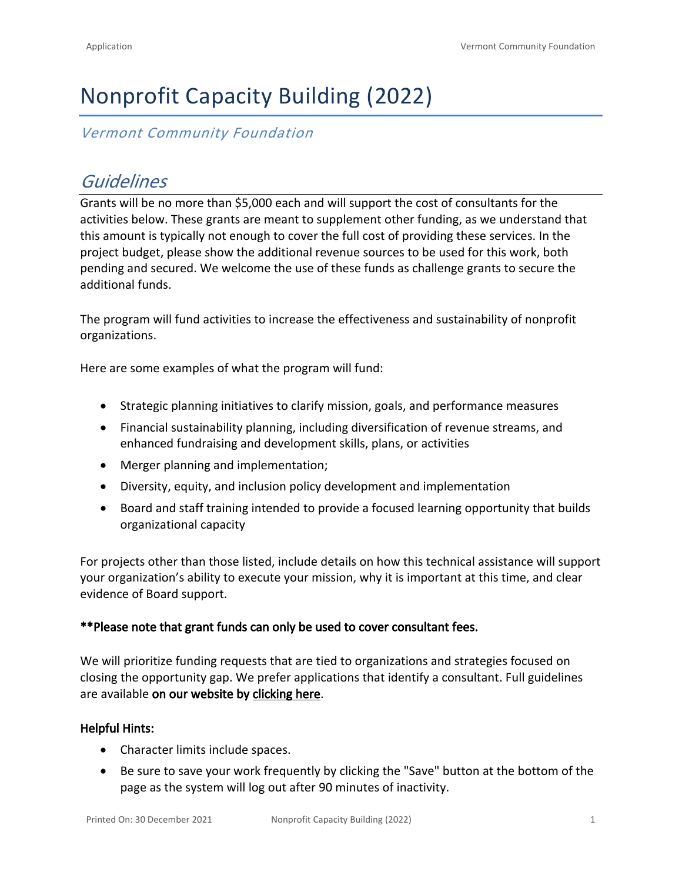# Nonprofit Capacity Building (2022)

### *Vermont Community Foundation*

# *Guidelines*

Grants will be no more than \$5,000 each and will support the cost of consultants for the activities below. These grants are meant to supplement other funding, as we understand that this amount is typically not enough to cover the full cost of providing these services. In the project budget, please show the additional revenue sources to be used for this work, both pending and secured. We welcome the use of these funds as challenge grants to secure the additional funds.

The program will fund activities to increase the effectiveness and sustainability of nonprofit organizations.

Here are some examples of what the program will fund:

- Strategic planning initiatives to clarify mission, goals, and performance measures
- Financial sustainability planning, including diversification of revenue streams, and enhanced fundraising and development skills, plans, or activities
- Merger planning and implementation;
- Diversity, equity, and inclusion policy development and implementation
- Board and staff training intended to provide a focused learning opportunity that builds organizational capacity

For projects other than those listed, include details on how this technical assistance will support your organization's ability to execute your mission, why it is important at this time, and clear evidence of Board support.

#### **\*\*Please note that grant funds can only be used to cover consultant fees.**

We will prioritize funding requests that are tied to organizations and strategies focused on closing the opportunity gap. We prefer applications that identify a consultant. Full guidelines are available **on our website by [clicking here](https://vermontcf.org/our-impact/programs-and-funds/nonprofit-capacity-building/)**.

#### **Helpful Hints:**

- Character limits include spaces.
- Be sure to save your work frequently by clicking the "Save" button at the bottom of the page as the system will log out after 90 minutes of inactivity.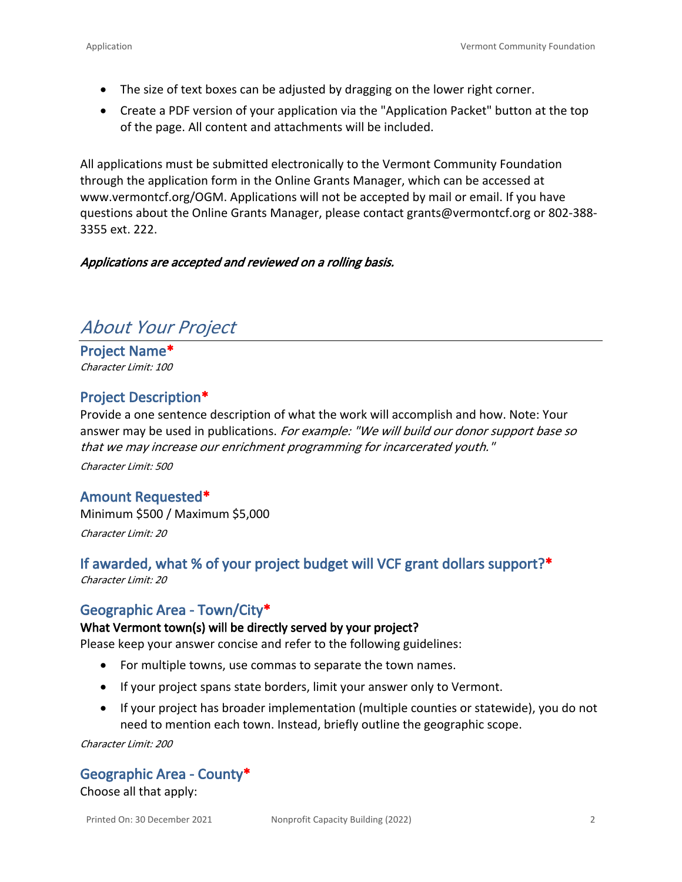- The size of text boxes can be adjusted by dragging on the lower right corner.
- Create a PDF version of your application via the "Application Packet" button at the top of the page. All content and attachments will be included.

All applications must be submitted electronically to the Vermont Community Foundation through the application form in the Online Grants Manager, which can be accessed at [www.vermontcf.org/OGM.](http://www.vermontcf.org/OGM) Applications will not be accepted by mail or email. If you have questions about the Online Grants Manager, please contact grants@vermontcf.org or 802-388- 3355 ext. 222.

#### *Applications are accepted and reviewed on a rolling basis.*

# *About Your Project*

**Project Name\*** *Character Limit: 100*

### **Project Description\***

Provide a one sentence description of what the work will accomplish and how. Note: Your answer may be used in publications. *For example: "We will build our donor support base so that we may increase our enrichment programming for incarcerated youth." Character Limit: 500*

#### **Amount Requested\***

Minimum \$500 / Maximum \$5,000 *Character Limit: 20*

## **If awarded, what % of your project budget will VCF grant dollars support?\***

*Character Limit: 20*

### **Geographic Area - Town/City\***

#### **What Vermont town(s) will be directly served by your project?**

Please keep your answer concise and refer to the following guidelines:

- For multiple towns, use commas to separate the town names.
- If your project spans state borders, limit your answer only to Vermont.
- If your project has broader implementation (multiple counties or statewide), you do not need to mention each town. Instead, briefly outline the geographic scope.

*Character Limit: 200*

#### **Geographic Area - County\***

Choose all that apply: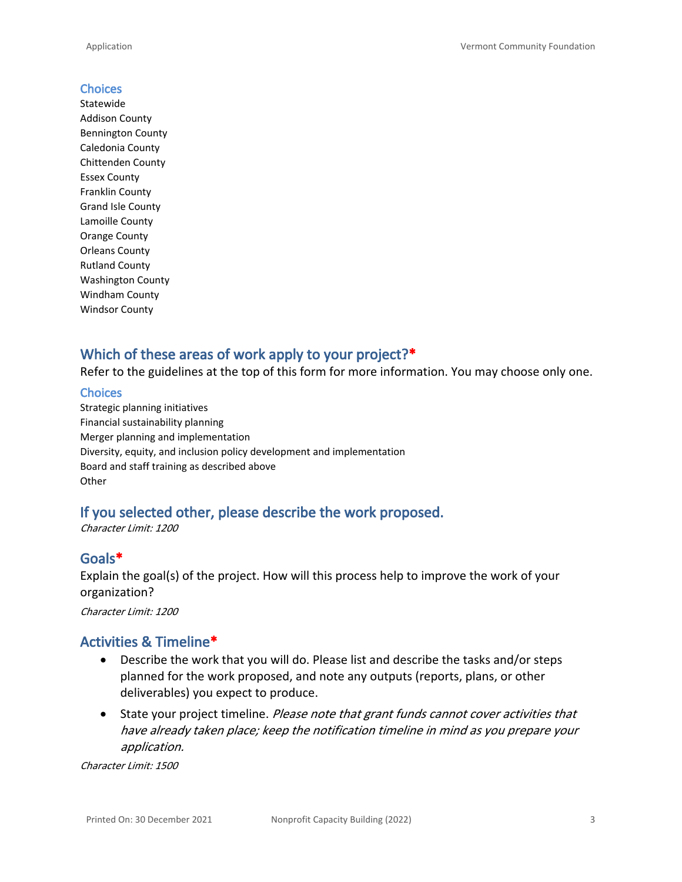#### **Choices**

Statewide Addison County Bennington County Caledonia County Chittenden County Essex County Franklin County Grand Isle County Lamoille County Orange County Orleans County Rutland County Washington County Windham County Windsor County

### **Which of these areas of work apply to your project?\***

Refer to the guidelines at the top of this form for more information. You may choose only one.

#### **Choices**

Strategic planning initiatives Financial sustainability planning Merger planning and implementation Diversity, equity, and inclusion policy development and implementation Board and staff training as described above **Other** 

### **If you selected other, please describe the work proposed.**

*Character Limit: 1200*

### **Goals\***

Explain the goal(s) of the project. How will this process help to improve the work of your organization?

*Character Limit: 1200*

### **Activities & Timeline\***

- Describe the work that you will do. Please list and describe the tasks and/or steps planned for the work proposed, and note any outputs (reports, plans, or other deliverables) you expect to produce.
- State your project timeline. *Please note that grant funds cannot cover activities that have already taken place; keep the notification timeline in mind as you prepare your application.*

*Character Limit: 1500*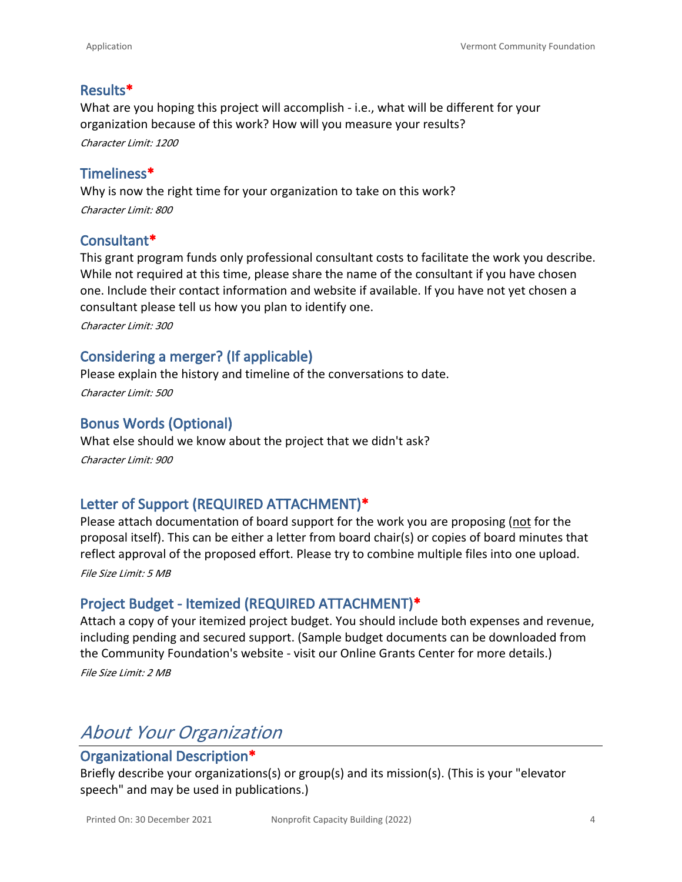### **Results\***

What are you hoping this project will accomplish - i.e., what will be different for your organization because of this work? How will you measure your results? *Character Limit: 1200*

**Timeliness\***

Why is now the right time for your organization to take on this work? *Character Limit: 800*

### **Consultant\***

This grant program funds only professional consultant costs to facilitate the work you describe. While not required at this time, please share the name of the consultant if you have chosen one. Include their contact information and website if available. If you have not yet chosen a consultant please tell us how you plan to identify one.

*Character Limit: 300*

### **Considering a merger? (If applicable)**

Please explain the history and timeline of the conversations to date. *Character Limit: 500*

### **Bonus Words (Optional)**

What else should we know about the project that we didn't ask? *Character Limit: 900*

### **Letter of Support (REQUIRED ATTACHMENT)\***

Please attach documentation of board support for the work you are proposing (not for the proposal itself). This can be either a letter from board chair(s) or copies of board minutes that reflect approval of the proposed effort. Please try to combine multiple files into one upload.

*File Size Limit: 5 MB*

### **Project Budget - Itemized (REQUIRED ATTACHMENT)\***

Attach a copy of your itemized project budget. You should include both expenses and revenue, including pending and secured support. (Sample budget documents can be downloaded from the Community Foundation's website - visit our [Online Grants Center](http://www.vermontcf.org/NonprofitsGrants/AvailableGrants/OnlineGrantsFAQ.aspx) for more details.)

*File Size Limit: 2 MB*

# *About Your Organization*

#### **Organizational Description\***

Briefly describe your organizations(s) or group(s) and its mission(s). (This is your "elevator speech" and may be used in publications.)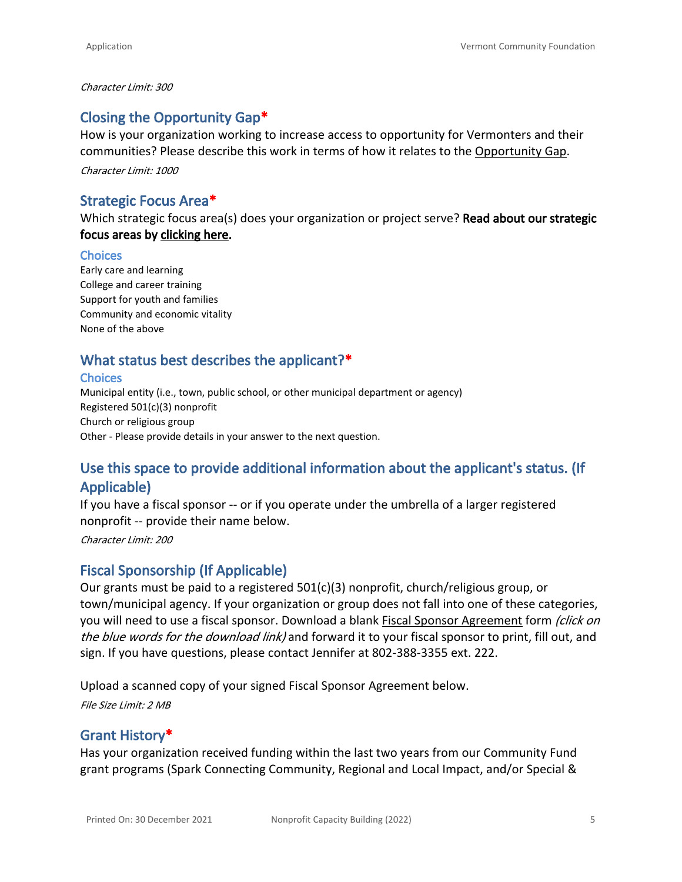#### *Character Limit: 300*

### **Closing the Opportunity Gap\***

How is your organization working to increase access to opportunity for Vermonters and their communities? Please describe this work in terms of how it relates to the [Opportunity Gap.](https://vermontcf.org/our-impact/community-impact/)

*Character Limit: 1000*

### **Strategic Focus Area\***

Which strategic focus area(s) does your organization or project serve? **Read about our strategic focus areas by [clicking here](https://vermontcf.org/our-impact/community-impact/).**

#### **Choices**

Early care and learning College and career training Support for youth and families Community and economic vitality None of the above

### **What status best describes the applicant?\***

#### **Choices**

Municipal entity (i.e., town, public school, or other municipal department or agency) Registered 501(c)(3) nonprofit Church or religious group Other - Please provide details in your answer to the next question.

### **Use this space to provide additional information about the applicant's status. (If Applicable)**

If you have a fiscal sponsor -- or if you operate under the umbrella of a larger registered nonprofit -- provide their name below.

*Character Limit: 200*

### **Fiscal Sponsorship (If Applicable)**

Our grants must be paid to a registered 501(c)(3) nonprofit, church/religious group, or town/municipal agency. If your organization or group does not fall into one of these categories, you will need to use a fiscal sponsor. Download a blank [Fiscal Sponsor Agreement](https://vermontcf.org/assets/Website-Documents/Fiscal-Sponsor-Form.pdf) form *(click on the blue words for the download link)* and forward it to your fiscal sponsor to print, fill out, and sign. If you have questions, please contact Jennifer at 802-388-3355 ext. 222.

Upload a scanned copy of your signed Fiscal Sponsor Agreement below. *File Size Limit: 2 MB*

#### **Grant History\***

Has your organization received funding within the last two years from our Community Fund grant programs (Spark Connecting Community, Regional and Local Impact, and/or Special &